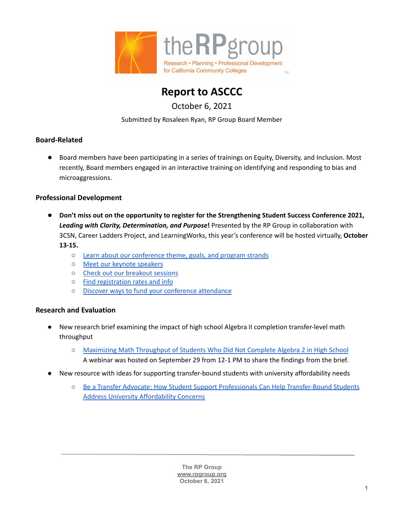



October 6, 2021

Submitted by Rosaleen Ryan, RP Group Board Member

## **Board-Related**

● Board members have been participating in a series of trainings on Equity, Diversity, and Inclusion. Most recently, Board members engaged in an interactive training on identifying and responding to bias and microaggressions.

## **Professional Development**

- **Don't miss out on the opportunity to register for the Strengthening Student Success Conference 2021,** *Leading with Clarity, Determination, and Purpose***!** Presented by the RP Group in collaboration with 3CSN, Career Ladders Project, and LearningWorks, this year's conference will be hosted virtually, **October 13-15.**
	- Learn about our [conference](https://rpgroup.org/Events/Strengthening-Student-Success/Theme-Goals-Strands) theme, goals, and program strands
	- Meet our keynote [speakers](https://rpgroup.org/Events/Strengthening-Student-Success/Keynote-Plenary-Speakers)
	- Check out our [breakout](https://rpgroup.org/Events/Strengthening-Student-Success/Program_Schedule) sessions
	- Find [registration](https://rpgroup.org/Strengthening-Student-Success/Registration) rates and info
	- Discover ways to fund your conference [attendance](https://rpgroup.org/Events/Strengthening-Student-Success/Funding_Your_Conference_Attendance)

## **Research and Evaluation**

- New research brief examining the impact of high school Algebra II completion transfer-level math throughput
	- Maximizing Math [Throughput](https://rpgroup.org/Portals/0/Documents/Projects/MultipleMeasures/AB705_Workshops/MaximizingMathThroughputOfStudentsWhoDidNotCompleteAlgebra2InHighSchool-final-August2021.pdf?ver=2021-09-17-105800-293) of Students Who Did Not Complete Algebra 2 in High School A webinar was hosted on September 29 from 12-1 PM to share the findings from the brief.
- New resource with ideas for supporting transfer-bound students with university affordability needs
	- Be a Transfer Advocate: How Student Support Professionals Can Help [Transfer-Bound](https://rpgroup.org/Portals/0/Documents/Projects/ThroughtheGate/TTG-StudentSupportProfessionalsResource.pdf?ver=2021-09-16-150205-103) Students Address University [Affordability](https://rpgroup.org/Portals/0/Documents/Projects/ThroughtheGate/TTG-StudentSupportProfessionalsResource.pdf?ver=2021-09-16-150205-103) Concerns